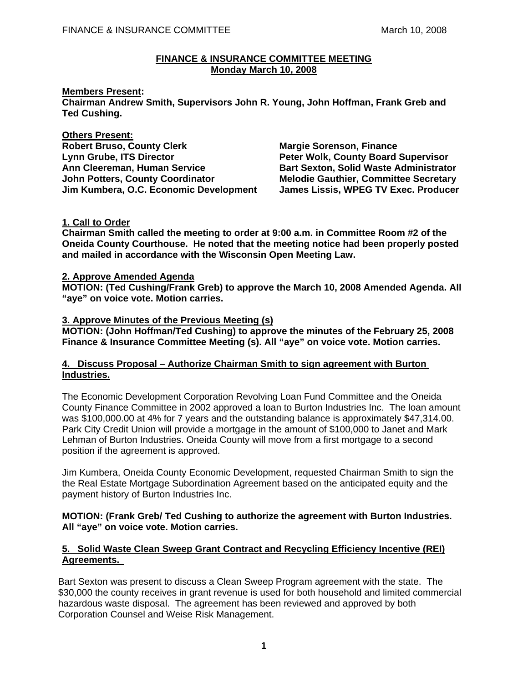#### FINANCE & INSURANCE COMMITTEE March 10, 2008

# **FINANCE & INSURANCE COMMITTEE MEETING Monday March 10, 2008**

# **Members Present:**

**Chairman Andrew Smith, Supervisors John R. Young, John Hoffman, Frank Greb and Ted Cushing.** 

**Others Present: Robert Bruso, County Clerk Margie Sorenson, Finance Communist Clergy Communist Communist Property** Lynn Grube, ITS Director **Peter Wolk, County Board Supervisor Ann Cleereman, Human Service Bart Sexton, Solid Waste Administrator John Potters, County Coordinator Melodie Gauthier, Committee Secretary Jim Kumbera, O.C. Economic Development James Lissis, WPEG TV Exec. Producer** 

### **1. Call to Order**

**Chairman Smith called the meeting to order at 9:00 a.m. in Committee Room #2 of the Oneida County Courthouse. He noted that the meeting notice had been properly posted and mailed in accordance with the Wisconsin Open Meeting Law.** 

#### **2. Approve Amended Agenda**

**MOTION: (Ted Cushing/Frank Greb) to approve the March 10, 2008 Amended Agenda. All "aye" on voice vote. Motion carries.** 

### **3. Approve Minutes of the Previous Meeting (s)**

**MOTION: (John Hoffman/Ted Cushing) to approve the minutes of the February 25, 2008 Finance & Insurance Committee Meeting (s). All "aye" on voice vote. Motion carries.** 

### **4. Discuss Proposal – Authorize Chairman Smith to sign agreement with Burton Industries.**

 The Economic Development Corporation Revolving Loan Fund Committee and the Oneida County Finance Committee in 2002 approved a loan to Burton Industries Inc. The loan amount was \$100,000.00 at 4% for 7 years and the outstanding balance is approximately \$47,314.00. Park City Credit Union will provide a mortgage in the amount of \$100,000 to Janet and Mark Lehman of Burton Industries. Oneida County will move from a first mortgage to a second position if the agreement is approved.

Jim Kumbera, Oneida County Economic Development, requested Chairman Smith to sign the the Real Estate Mortgage Subordination Agreement based on the anticipated equity and the payment history of Burton Industries Inc.

### **MOTION: (Frank Greb/ Ted Cushing to authorize the agreement with Burton Industries. All "aye" on voice vote. Motion carries.**

# **5. Solid Waste Clean Sweep Grant Contract and Recycling Efficiency Incentive (REI) Agreements.**

Bart Sexton was present to discuss a Clean Sweep Program agreement with the state. The \$30,000 the county receives in grant revenue is used for both household and limited commercial hazardous waste disposal. The agreement has been reviewed and approved by both Corporation Counsel and Weise Risk Management.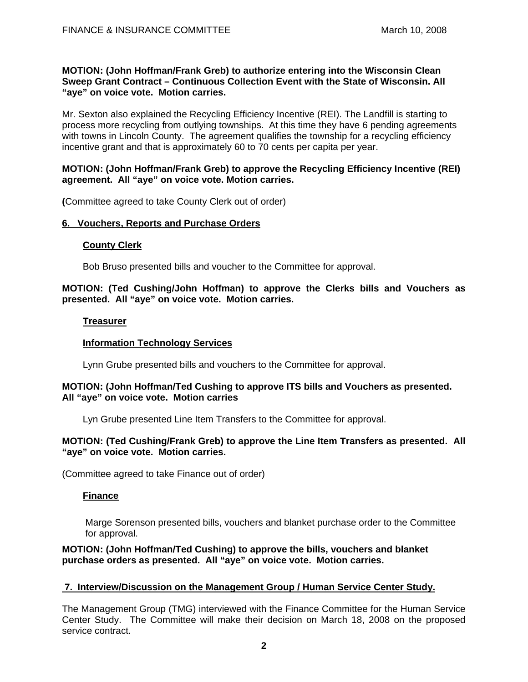#### **MOTION: (John Hoffman/Frank Greb) to authorize entering into the Wisconsin Clean Sweep Grant Contract – Continuous Collection Event with the State of Wisconsin. All "aye" on voice vote. Motion carries.**

Mr. Sexton also explained the Recycling Efficiency Incentive (REI). The Landfill is starting to process more recycling from outlying townships. At this time they have 6 pending agreements with towns in Lincoln County. The agreement qualifies the township for a recycling efficiency incentive grant and that is approximately 60 to 70 cents per capita per year.

### **MOTION: (John Hoffman/Frank Greb) to approve the Recycling Efficiency Incentive (REI) agreement. All "aye" on voice vote. Motion carries.**

 **(**Committee agreed to take County Clerk out of order)

### **6. Vouchers, Reports and Purchase Orders**

#### **County Clerk**

Bob Bruso presented bills and voucher to the Committee for approval.

# **MOTION: (Ted Cushing/John Hoffman) to approve the Clerks bills and Vouchers as presented. All "aye" on voice vote. Motion carries.**

### **Treasurer**

# **Information Technology Services**

Lynn Grube presented bills and vouchers to the Committee for approval.

### **MOTION: (John Hoffman/Ted Cushing to approve ITS bills and Vouchers as presented. All "aye" on voice vote. Motion carries**

Lyn Grube presented Line Item Transfers to the Committee for approval.

# **MOTION: (Ted Cushing/Frank Greb) to approve the Line Item Transfers as presented. All "aye" on voice vote. Motion carries.**

(Committee agreed to take Finance out of order)

# **Finance**

 Marge Sorenson presented bills, vouchers and blanket purchase order to the Committee for approval.

### **MOTION: (John Hoffman/Ted Cushing) to approve the bills, vouchers and blanket purchase orders as presented. All "aye" on voice vote. Motion carries.**

#### **7. Interview/Discussion on the Management Group / Human Service Center Study.**

The Management Group (TMG) interviewed with the Finance Committee for the Human Service Center Study. The Committee will make their decision on March 18, 2008 on the proposed service contract.